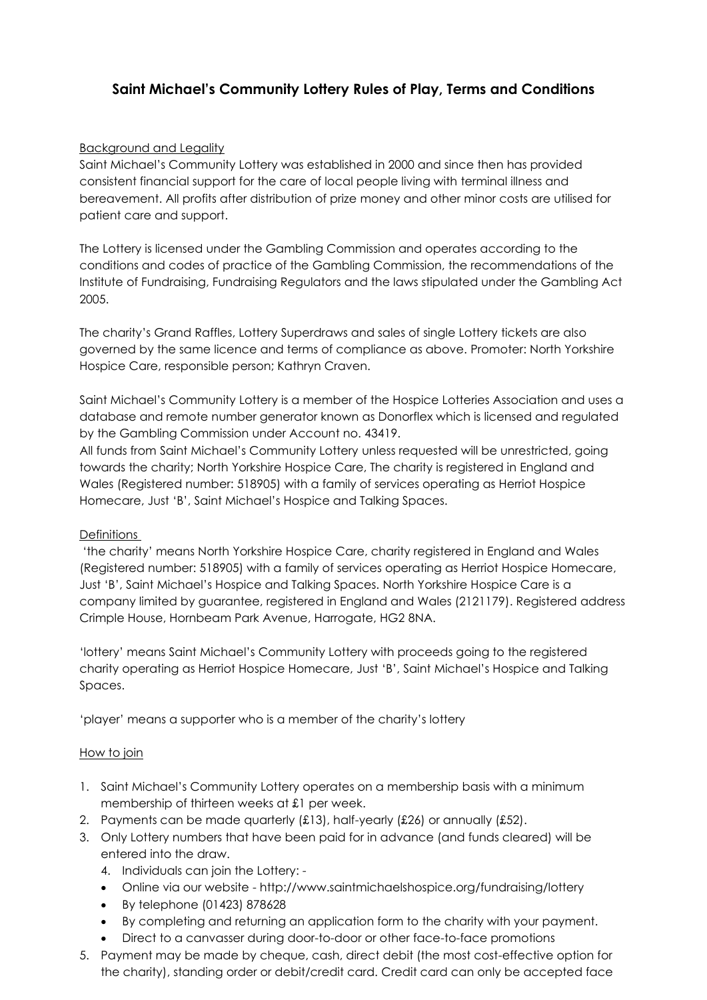# **Saint Michael's Community Lottery Rules of Play, Terms and Conditions**

# Background and Legality

Saint Michael's Community Lottery was established in 2000 and since then has provided consistent financial support for the care of local people living with terminal illness and bereavement. All profits after distribution of prize money and other minor costs are utilised for patient care and support.

The Lottery is licensed under the Gambling Commission and operates according to the conditions and codes of practice of the Gambling Commission, the recommendations of the Institute of Fundraising, Fundraising Regulators and the laws stipulated under the Gambling Act 2005.

The charity's Grand Raffles, Lottery Superdraws and sales of single Lottery tickets are also governed by the same licence and terms of compliance as above. Promoter: North Yorkshire Hospice Care, responsible person; Kathryn Craven.

Saint Michael's Community Lottery is a member of the Hospice Lotteries Association and uses a database and remote number generator known as Donorflex which is licensed and regulated by the Gambling Commission under Account no. 43419.

All funds from Saint Michael's Community Lottery unless requested will be unrestricted, going towards the charity; North Yorkshire Hospice Care, The charity is registered in England and Wales (Registered number: 518905) with a family of services operating as Herriot Hospice Homecare, Just 'B', Saint Michael's Hospice and Talking Spaces.

# Definitions

'the charity' means North Yorkshire Hospice Care, charity registered in England and Wales (Registered number: 518905) with a family of services operating as Herriot Hospice Homecare, Just 'B', Saint Michael's Hospice and Talking Spaces. North Yorkshire Hospice Care is a company limited by guarantee, registered in England and Wales (2121179). Registered address Crimple House, Hornbeam Park Avenue, Harrogate, HG2 8NA.

'lottery' means Saint Michael's Community Lottery with proceeds going to the registered charity operating as Herriot Hospice Homecare, Just 'B', Saint Michael's Hospice and Talking Spaces.

'player' means a supporter who is a member of the charity's lottery

# How to join

- 1. Saint Michael's Community Lottery operates on a membership basis with a minimum membership of thirteen weeks at £1 per week.
- 2. Payments can be made quarterly  $(f13)$ , half-yearly  $(f26)$  or annually  $(f52)$ .
- 3. Only Lottery numbers that have been paid for in advance (and funds cleared) will be entered into the draw.
	- 4. Individuals can join the Lottery: -
	- Online via our website http://www.saintmichaelshospice.org/fundraising/lottery
	- By telephone (01423) 878628
	- By completing and returning an application form to the charity with your payment.
	- Direct to a canvasser during door-to-door or other face-to-face promotions
- 5. Payment may be made by cheque, cash, direct debit (the most cost-effective option for the charity), standing order or debit/credit card. Credit card can only be accepted face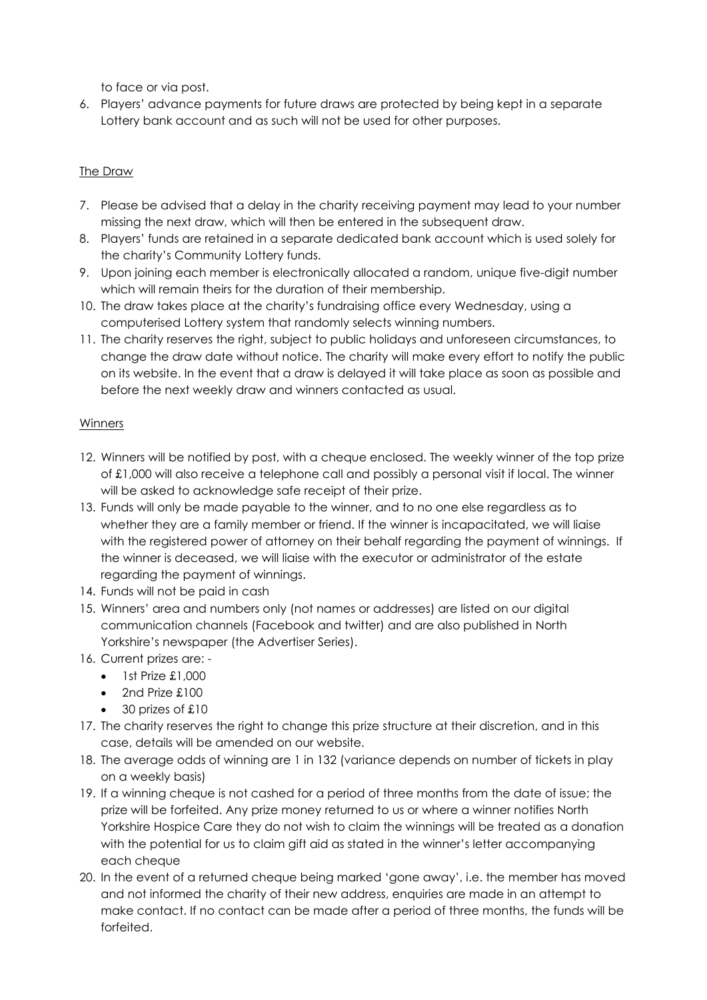to face or via post.

6. Players' advance payments for future draws are protected by being kept in a separate Lottery bank account and as such will not be used for other purposes.

# The Draw

- 7. Please be advised that a delay in the charity receiving payment may lead to your number missing the next draw, which will then be entered in the subsequent draw.
- 8. Players' funds are retained in a separate dedicated bank account which is used solely for the charity's Community Lottery funds.
- 9. Upon joining each member is electronically allocated a random, unique five-digit number which will remain theirs for the duration of their membership.
- 10. The draw takes place at the charity's fundraising office every Wednesday, using a computerised Lottery system that randomly selects winning numbers.
- 11. The charity reserves the right, subject to public holidays and unforeseen circumstances, to change the draw date without notice. The charity will make every effort to notify the public on its website. In the event that a draw is delayed it will take place as soon as possible and before the next weekly draw and winners contacted as usual.

# **Winners**

- 12. Winners will be notified by post, with a cheque enclosed. The weekly winner of the top prize of £1,000 will also receive a telephone call and possibly a personal visit if local. The winner will be asked to acknowledge safe receipt of their prize.
- 13. Funds will only be made payable to the winner, and to no one else regardless as to whether they are a family member or friend. If the winner is incapacitated, we will liaise with the registered power of attorney on their behalf regarding the payment of winnings. If the winner is deceased, we will liaise with the executor or administrator of the estate regarding the payment of winnings.
- 14. Funds will not be paid in cash
- 15. Winners' area and numbers only (not names or addresses) are listed on our digital communication channels (Facebook and twitter) and are also published in North Yorkshire's newspaper (the Advertiser Series).
- 16. Current prizes are:
	- 1st Prize £1,000
	- 2nd Prize £100
	- 30 prizes of £10
- 17. The charity reserves the right to change this prize structure at their discretion, and in this case, details will be amended on our website.
- 18. The average odds of winning are 1 in 132 (variance depends on number of tickets in play on a weekly basis)
- 19. If a winning cheque is not cashed for a period of three months from the date of issue; the prize will be forfeited. Any prize money returned to us or where a winner notifies North Yorkshire Hospice Care they do not wish to claim the winnings will be treated as a donation with the potential for us to claim gift aid as stated in the winner's letter accompanying each cheque
- 20. In the event of a returned cheque being marked 'gone away', i.e. the member has moved and not informed the charity of their new address, enquiries are made in an attempt to make contact. If no contact can be made after a period of three months, the funds will be forfeited.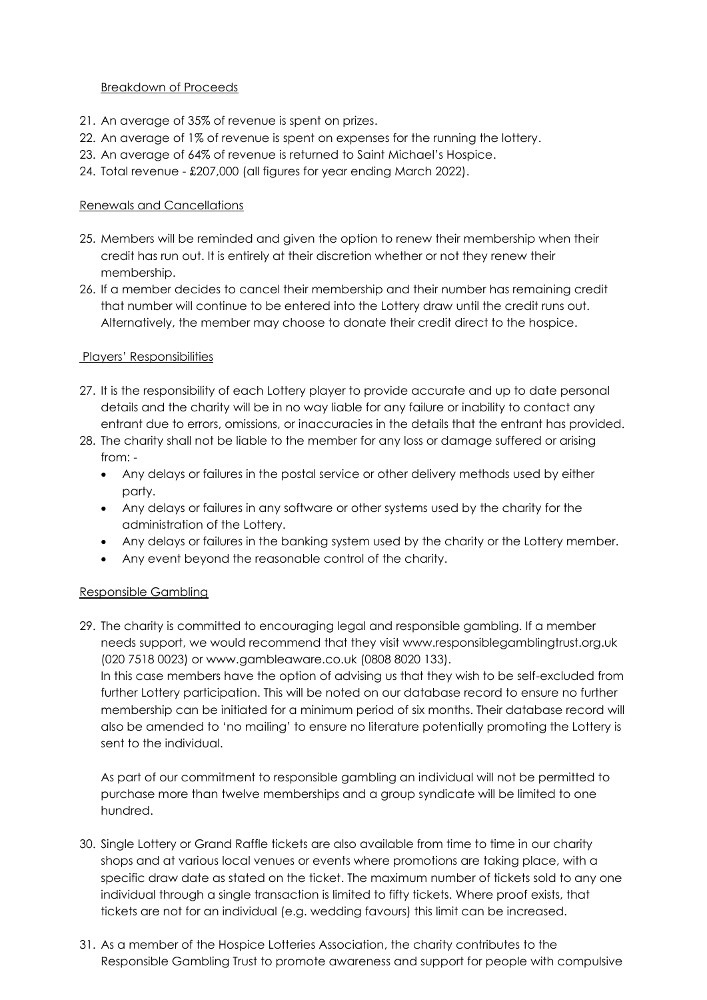#### Breakdown of Proceeds

- 21. An average of 35% of revenue is spent on prizes.
- 22. An average of 1% of revenue is spent on expenses for the running the lottery.
- 23. An average of 64% of revenue is returned to Saint Michael's Hospice.
- 24. Total revenue £207,000 (all figures for year ending March 2022).

# Renewals and Cancellations

- 25. Members will be reminded and given the option to renew their membership when their credit has run out. It is entirely at their discretion whether or not they renew their membership.
- 26. If a member decides to cancel their membership and their number has remaining credit that number will continue to be entered into the Lottery draw until the credit runs out. Alternatively, the member may choose to donate their credit direct to the hospice.

# Players' Responsibilities

- 27. It is the responsibility of each Lottery player to provide accurate and up to date personal details and the charity will be in no way liable for any failure or inability to contact any entrant due to errors, omissions, or inaccuracies in the details that the entrant has provided.
- 28. The charity shall not be liable to the member for any loss or damage suffered or arising from: -
	- Any delays or failures in the postal service or other delivery methods used by either party.
	- Any delays or failures in any software or other systems used by the charity for the administration of the Lottery.
	- Any delays or failures in the banking system used by the charity or the Lottery member.
	- Any event beyond the reasonable control of the charity.

# Responsible Gambling

29. The charity is committed to encouraging legal and responsible gambling. If a member needs support, we would recommend that they visit www.responsiblegamblingtrust.org.uk (020 7518 0023) or www.gambleaware.co.uk (0808 8020 133).

In this case members have the option of advising us that they wish to be self-excluded from further Lottery participation. This will be noted on our database record to ensure no further membership can be initiated for a minimum period of six months. Their database record will also be amended to 'no mailing' to ensure no literature potentially promoting the Lottery is sent to the individual.

As part of our commitment to responsible gambling an individual will not be permitted to purchase more than twelve memberships and a group syndicate will be limited to one hundred.

- 30. Single Lottery or Grand Raffle tickets are also available from time to time in our charity shops and at various local venues or events where promotions are taking place, with a specific draw date as stated on the ticket. The maximum number of tickets sold to any one individual through a single transaction is limited to fifty tickets. Where proof exists, that tickets are not for an individual (e.g. wedding favours) this limit can be increased.
- 31. As a member of the Hospice Lotteries Association, the charity contributes to the Responsible Gambling Trust to promote awareness and support for people with compulsive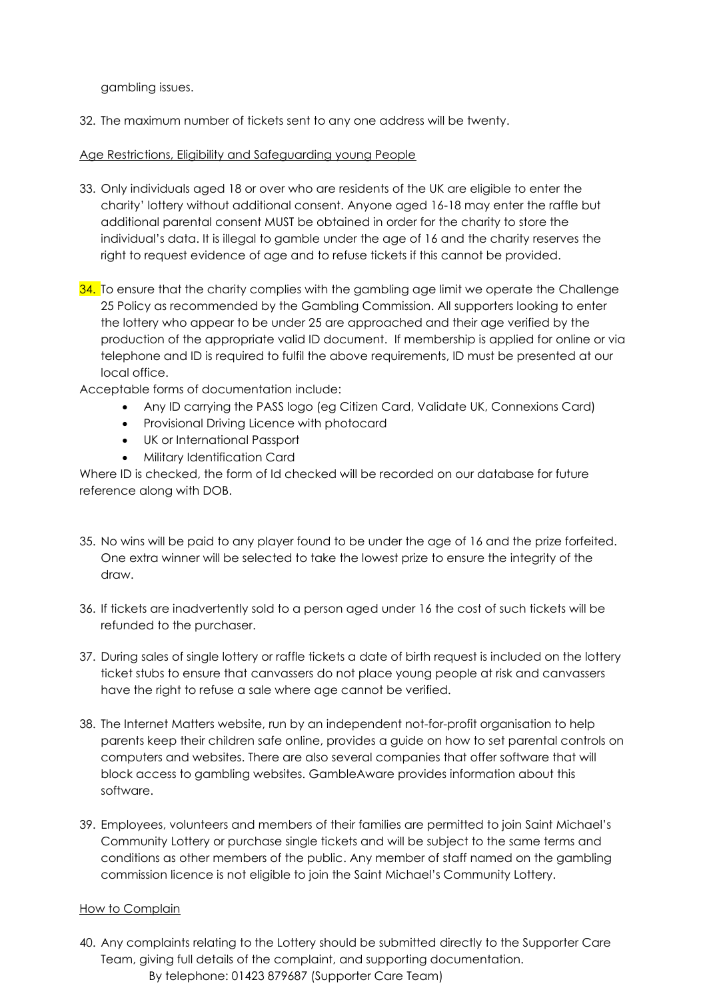gambling issues.

32. The maximum number of tickets sent to any one address will be twenty.

# Age Restrictions, Eligibility and Safeguarding young People

- 33. Only individuals aged 18 or over who are residents of the UK are eligible to enter the charity' lottery without additional consent. Anyone aged 16-18 may enter the raffle but additional parental consent MUST be obtained in order for the charity to store the individual's data. It is illegal to gamble under the age of 16 and the charity reserves the right to request evidence of age and to refuse tickets if this cannot be provided.
- 34. To ensure that the charity complies with the gambling age limit we operate the Challenge 25 Policy as recommended by the Gambling Commission. All supporters looking to enter the lottery who appear to be under 25 are approached and their age verified by the production of the appropriate valid ID document. If membership is applied for online or via telephone and ID is required to fulfil the above requirements, ID must be presented at our local office.

Acceptable forms of documentation include:

- Any ID carrying the PASS logo (eg Citizen Card, Validate UK, Connexions Card)
- Provisional Driving Licence with photocard
- UK or International Passport
- Military Identification Card

Where ID is checked, the form of Id checked will be recorded on our database for future reference along with DOB.

- 35. No wins will be paid to any player found to be under the age of 16 and the prize forfeited. One extra winner will be selected to take the lowest prize to ensure the integrity of the draw.
- 36. If tickets are inadvertently sold to a person aged under 16 the cost of such tickets will be refunded to the purchaser.
- 37. During sales of single lottery or raffle tickets a date of birth request is included on the lottery ticket stubs to ensure that canvassers do not place young people at risk and canvassers have the right to refuse a sale where age cannot be verified.
- 38. The Internet Matters website, run by an independent not-for-profit organisation to help parents keep their children safe online, provides a guide on how to set parental controls on computers and websites. There are also several companies that offer software that will block access to gambling websites. GambleAware provides information about this software.
- 39. Employees, volunteers and members of their families are permitted to join Saint Michael's Community Lottery or purchase single tickets and will be subject to the same terms and conditions as other members of the public. Any member of staff named on the gambling commission licence is not eligible to join the Saint Michael's Community Lottery.

# How to Complain

40. Any complaints relating to the Lottery should be submitted directly to the Supporter Care Team, giving full details of the complaint, and supporting documentation. By telephone: 01423 879687 (Supporter Care Team)